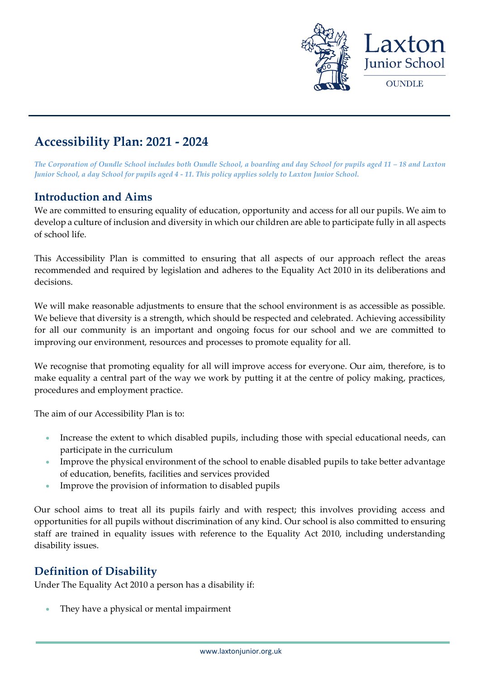

# **Accessibility Plan: 2021 - 2024**

*The Corporation of Oundle School includes both Oundle School, a boarding and day School for pupils aged 11 – 18 and Laxton Junior School, a day School for pupils aged 4 - 11. This policy applies solely to Laxton Junior School.*

### **Introduction and Aims**

We are committed to ensuring equality of education, opportunity and access for all our pupils. We aim to develop a culture of inclusion and diversity in which our children are able to participate fully in all aspects of school life.

This Accessibility Plan is committed to ensuring that all aspects of our approach reflect the areas recommended and required by legislation and adheres to the Equality Act 2010 in its deliberations and decisions.

We will make reasonable adjustments to ensure that the school environment is as accessible as possible. We believe that diversity is a strength, which should be respected and celebrated. Achieving accessibility for all our community is an important and ongoing focus for our school and we are committed to improving our environment, resources and processes to promote equality for all.

We recognise that promoting equality for all will improve access for everyone. Our aim, therefore, is to make equality a central part of the way we work by putting it at the centre of policy making, practices, procedures and employment practice.

The aim of our Accessibility Plan is to:

- Increase the extent to which disabled pupils, including those with special educational needs, can participate in the curriculum
- Improve the physical environment of the school to enable disabled pupils to take better advantage of education, benefits, facilities and services provided
- Improve the provision of information to disabled pupils

Our school aims to treat all its pupils fairly and with respect; this involves providing access and opportunities for all pupils without discrimination of any kind. Our school is also committed to ensuring staff are trained in equality issues with reference to the Equality Act 2010, including understanding disability issues.

# **Definition of Disability**

Under The Equality Act 2010 a person has a disability if:

• They have a physical or mental impairment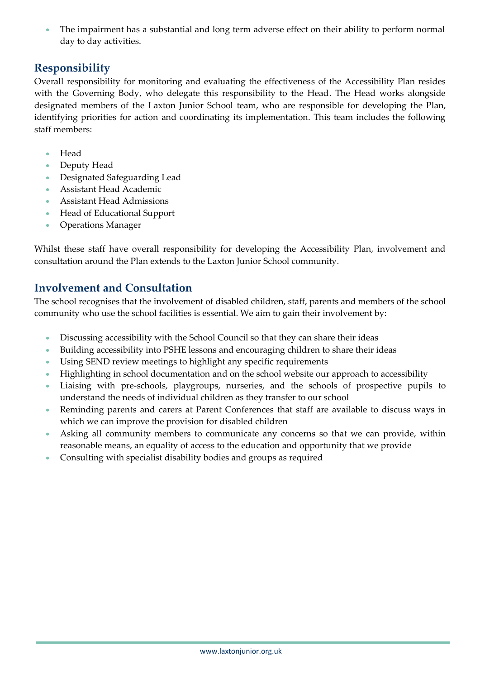• The impairment has a substantial and long term adverse effect on their ability to perform normal day to day activities.

### **Responsibility**

Overall responsibility for monitoring and evaluating the effectiveness of the Accessibility Plan resides with the Governing Body, who delegate this responsibility to the Head. The Head works alongside designated members of the Laxton Junior School team, who are responsible for developing the Plan, identifying priorities for action and coordinating its implementation. This team includes the following staff members:

- Head
- Deputy Head
- Designated Safeguarding Lead
- Assistant Head Academic
- Assistant Head Admissions
- Head of Educational Support
- Operations Manager

Whilst these staff have overall responsibility for developing the Accessibility Plan, involvement and consultation around the Plan extends to the Laxton Junior School community.

### **Involvement and Consultation**

The school recognises that the involvement of disabled children, staff, parents and members of the school community who use the school facilities is essential. We aim to gain their involvement by:

- Discussing accessibility with the School Council so that they can share their ideas
- Building accessibility into PSHE lessons and encouraging children to share their ideas
- Using SEND review meetings to highlight any specific requirements
- Highlighting in school documentation and on the school website our approach to accessibility
- Liaising with pre-schools, playgroups, nurseries, and the schools of prospective pupils to understand the needs of individual children as they transfer to our school
- Reminding parents and carers at Parent Conferences that staff are available to discuss ways in which we can improve the provision for disabled children
- Asking all community members to communicate any concerns so that we can provide, within reasonable means, an equality of access to the education and opportunity that we provide
- Consulting with specialist disability bodies and groups as required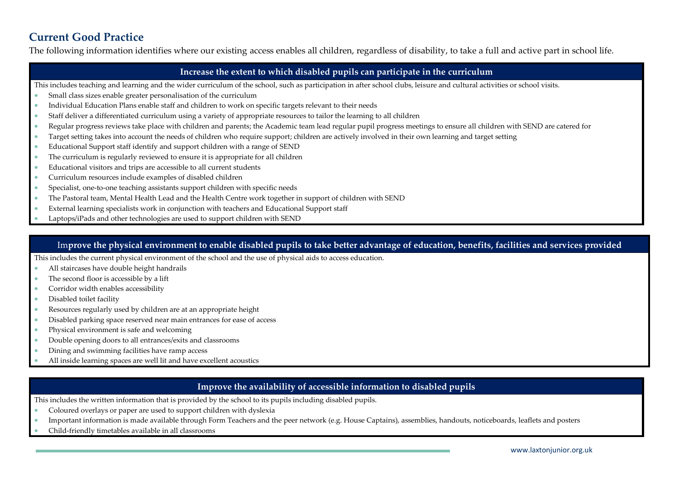# **Current Good Practice**

The following information identifies where our existing access enables all children, regardless of disability, to take a full and active part in school life.

#### **Increase the extent to which disabled pupils can participate in the curriculum**

- This includes teaching and learning and the wider curriculum of the school, such as participation in after school clubs, leisure and cultural activities or school visits.
- Small class sizes enable greater personalisation of the curriculum
- Individual Education Plans enable staff and children to work on specific targets relevant to their needs
- Staff deliver a differentiated curriculum using a variety of appropriate resources to tailor the learning to all children
- Regular progress reviews take place with children and parents; the Academic team lead regular pupil progress meetings to ensure all children with SEND are catered for
- Target setting takes into account the needs of children who require support; children are actively involved in their own learning and target setting
- Educational Support staff identify and support children with a range of SEND
- The curriculum is regularly reviewed to ensure it is appropriate for all children
- Educational visitors and trips are accessible to all current students
- Curriculum resources include examples of disabled children
- Specialist, one-to-one teaching assistants support children with specific needs
- The Pastoral team, Mental Health Lead and the Health Centre work together in support of children with SEND
- External learning specialists work in conjunction with teachers and Educational Support staff
- Laptops/iPads and other technologies are used to support children with SEND

#### Im**prove the physical environment to enable disabled pupils to take better advantage of education, benefits, facilities and services provided**

This includes the current physical environment of the school and the use of physical aids to access education.

- All staircases have double height handrails
- The second floor is accessible by a lift
- Corridor width enables accessibility
- Disabled toilet facility
- Resources regularly used by children are at an appropriate height
- Disabled parking space reserved near main entrances for ease of access
- Physical environment is safe and welcoming
- Double opening doors to all entrances/exits and classrooms
- Dining and swimming facilities have ramp access
- All inside learning spaces are well lit and have excellent acoustics

#### **Improve the availability of accessible information to disabled pupils**

This includes the written information that is provided by the school to its pupils including disabled pupils.

- Coloured overlays or paper are used to support children with dyslexia
- Important information is made available through Form Teachers and the peer network (e.g. House Captains), assemblies, handouts, noticeboards, leaflets and posters
- Child-friendly timetables available in all classrooms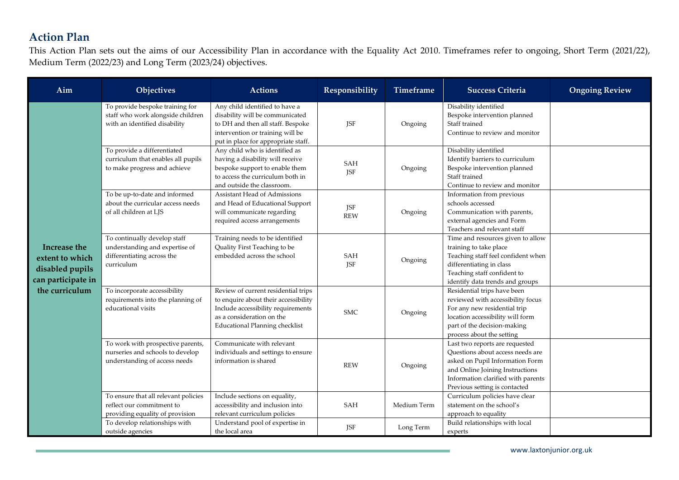# **Action Plan**

This Action Plan sets out the aims of our Accessibility Plan in accordance with the Equality Act 2010. Timeframes refer to ongoing, Short Term (2021/22), Medium Term (2022/23) and Long Term (2023/24) objectives.

| Aim                                                                                        | Objectives                                                                                                 | <b>Actions</b>                                                                                                                                                                          | Responsibility           | <b>Timeframe</b> | <b>Success Criteria</b>                                                                                                                                                                                         | <b>Ongoing Review</b> |
|--------------------------------------------------------------------------------------------|------------------------------------------------------------------------------------------------------------|-----------------------------------------------------------------------------------------------------------------------------------------------------------------------------------------|--------------------------|------------------|-----------------------------------------------------------------------------------------------------------------------------------------------------------------------------------------------------------------|-----------------------|
| Increase the<br>extent to which<br>disabled pupils<br>can participate in<br>the curriculum | To provide bespoke training for<br>staff who work alongside children<br>with an identified disability      | Any child identified to have a<br>disability will be communicated<br>to DH and then all staff. Bespoke<br>intervention or training will be<br>put in place for appropriate staff.       | <b>JSF</b>               | Ongoing          | Disability identified<br>Bespoke intervention planned<br>Staff trained<br>Continue to review and monitor                                                                                                        |                       |
|                                                                                            | To provide a differentiated<br>curriculum that enables all pupils<br>to make progress and achieve          | Any child who is identified as<br>having a disability will receive<br>bespoke support to enable them<br>to access the curriculum both in<br>and outside the classroom.                  | SAH<br><b>JSF</b>        | Ongoing          | Disability identified<br>Identify barriers to curriculum<br>Bespoke intervention planned<br>Staff trained<br>Continue to review and monitor                                                                     |                       |
|                                                                                            | To be up-to-date and informed<br>about the curricular access needs<br>of all children at LJS               | Assistant Head of Admissions<br>and Head of Educational Support<br>will communicate regarding<br>required access arrangements                                                           | <b>JSF</b><br><b>REW</b> | Ongoing          | Information from previous<br>schools accessed<br>Communication with parents,<br>external agencies and Form<br>Teachers and relevant staff                                                                       |                       |
|                                                                                            | To continually develop staff<br>understanding and expertise of<br>differentiating across the<br>curriculum | Training needs to be identified<br>Quality First Teaching to be<br>embedded across the school                                                                                           | SAH<br>JSF               | Ongoing          | Time and resources given to allow<br>training to take place<br>Teaching staff feel confident when<br>differentiating in class<br>Teaching staff confident to<br>identify data trends and groups                 |                       |
|                                                                                            | To incorporate accessibility<br>requirements into the planning of<br>educational visits                    | Review of current residential trips<br>to enquire about their accessibility<br>Include accessibility requirements<br>as a consideration on the<br><b>Educational Planning checklist</b> | <b>SMC</b>               | Ongoing          | Residential trips have been<br>reviewed with accessibility focus<br>For any new residential trip<br>location accessibility will form<br>part of the decision-making<br>process about the setting                |                       |
|                                                                                            | To work with prospective parents,<br>nurseries and schools to develop<br>understanding of access needs     | Communicate with relevant<br>individuals and settings to ensure<br>information is shared                                                                                                | <b>REW</b>               | Ongoing          | Last two reports are requested<br>Questions about access needs are<br>asked on Pupil Information Form<br>and Online Joining Instructions<br>Information clarified with parents<br>Previous setting is contacted |                       |
|                                                                                            | To ensure that all relevant policies<br>reflect our commitment to<br>providing equality of provision       | Include sections on equality,<br>accessibility and inclusion into<br>relevant curriculum policies                                                                                       | <b>SAH</b>               | Medium Term      | Curriculum policies have clear<br>statement on the school's<br>approach to equality                                                                                                                             |                       |
|                                                                                            | To develop relationships with<br>outside agencies                                                          | Understand pool of expertise in<br>the local area                                                                                                                                       | <b>JSF</b>               | Long Term        | Build relationships with local<br>experts                                                                                                                                                                       |                       |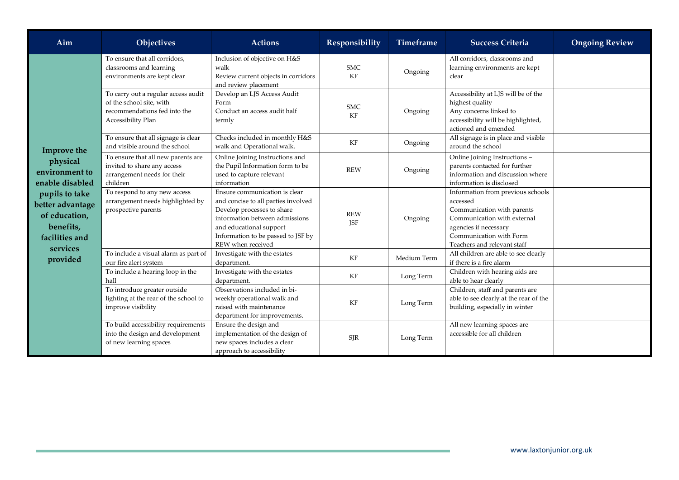| Aim                                                                                                                                                                        | Objectives                                                                                                            | <b>Actions</b>                                                                                                                                                                                                             | Responsibility           | <b>Timeframe</b> | <b>Success Criteria</b>                                                                                                                                                                       | <b>Ongoing Review</b> |
|----------------------------------------------------------------------------------------------------------------------------------------------------------------------------|-----------------------------------------------------------------------------------------------------------------------|----------------------------------------------------------------------------------------------------------------------------------------------------------------------------------------------------------------------------|--------------------------|------------------|-----------------------------------------------------------------------------------------------------------------------------------------------------------------------------------------------|-----------------------|
| Improve the<br>physical<br>environment to<br>enable disabled<br>pupils to take<br>better advantage<br>of education,<br>benefits,<br>facilities and<br>services<br>provided | To ensure that all corridors,<br>classrooms and learning<br>environments are kept clear                               | Inclusion of objective on H&S<br>walk<br>Review current objects in corridors<br>and review placement                                                                                                                       | <b>SMC</b><br>KF         | Ongoing          | All corridors, classrooms and<br>learning environments are kept<br>clear                                                                                                                      |                       |
|                                                                                                                                                                            | To carry out a regular access audit<br>of the school site, with<br>recommendations fed into the<br>Accessibility Plan | Develop an LJS Access Audit<br>Form<br>Conduct an access audit half<br>termly                                                                                                                                              | <b>SMC</b><br>KF         | Ongoing          | Accessibility at LJS will be of the<br>highest quality<br>Any concerns linked to<br>accessibility will be highlighted,<br>actioned and emended                                                |                       |
|                                                                                                                                                                            | To ensure that all signage is clear<br>and visible around the school                                                  | Checks included in monthly H&S<br>walk and Operational walk.                                                                                                                                                               | KF                       | Ongoing          | All signage is in place and visible<br>around the school                                                                                                                                      |                       |
|                                                                                                                                                                            | To ensure that all new parents are<br>invited to share any access<br>arrangement needs for their<br>children          | Online Joining Instructions and<br>the Pupil Information form to be<br>used to capture relevant<br>information                                                                                                             | <b>REW</b>               | Ongoing          | Online Joining Instructions -<br>parents contacted for further<br>information and discussion where<br>information is disclosed                                                                |                       |
|                                                                                                                                                                            | To respond to any new access<br>arrangement needs highlighted by<br>prospective parents                               | Ensure communication is clear<br>and concise to all parties involved<br>Develop processes to share<br>information between admissions<br>and educational support<br>Information to be passed to JSF by<br>REW when received | <b>REW</b><br><b>ISF</b> | Ongoing          | Information from previous schools<br>accessed<br>Communication with parents<br>Communication with external<br>agencies if necessary<br>Communication with Form<br>Teachers and relevant staff |                       |
|                                                                                                                                                                            | To include a visual alarm as part of<br>our fire alert system                                                         | Investigate with the estates<br>department.                                                                                                                                                                                | KF                       | Medium Term      | All children are able to see clearly<br>if there is a fire alarm                                                                                                                              |                       |
|                                                                                                                                                                            | To include a hearing loop in the<br>hall                                                                              | Investigate with the estates<br>department.                                                                                                                                                                                | KF                       | Long Term        | Children with hearing aids are<br>able to hear clearly                                                                                                                                        |                       |
|                                                                                                                                                                            | To introduce greater outside<br>lighting at the rear of the school to<br>improve visibility                           | Observations included in bi-<br>weekly operational walk and<br>raised with maintenance<br>department for improvements.                                                                                                     | KF                       | Long Term        | Children, staff and parents are<br>able to see clearly at the rear of the<br>building, especially in winter                                                                                   |                       |
|                                                                                                                                                                            | To build accessibility requirements<br>into the design and development<br>of new learning spaces                      | Ensure the design and<br>implementation of the design of<br>new spaces includes a clear<br>approach to accessibility                                                                                                       | <b>SJR</b>               | Long Term        | All new learning spaces are<br>accessible for all children                                                                                                                                    |                       |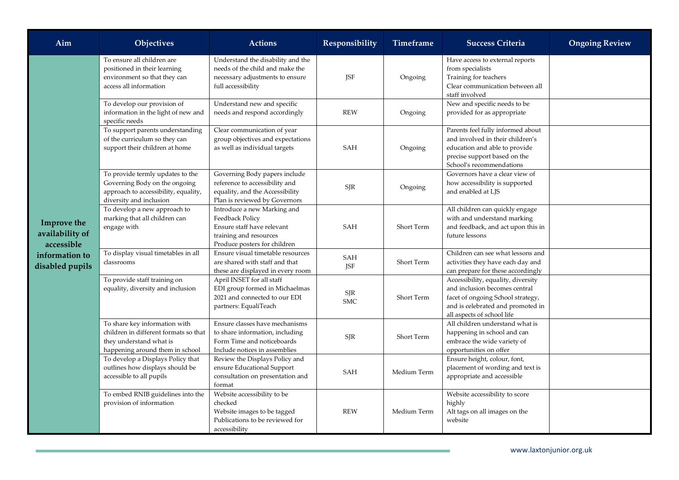| Aim                                                                               | Objectives                                                                                                                           | <b>Actions</b>                                                                                                                         | Responsibility           | Timeframe   | <b>Success Criteria</b>                                                                                                                                                     | <b>Ongoing Review</b> |
|-----------------------------------------------------------------------------------|--------------------------------------------------------------------------------------------------------------------------------------|----------------------------------------------------------------------------------------------------------------------------------------|--------------------------|-------------|-----------------------------------------------------------------------------------------------------------------------------------------------------------------------------|-----------------------|
| Improve the<br>availability of<br>accessible<br>information to<br>disabled pupils | To ensure all children are<br>positioned in their learning<br>environment so that they can<br>access all information                 | Understand the disability and the<br>needs of the child and make the<br>necessary adjustments to ensure<br>full accessibility          | <b>JSF</b>               | Ongoing     | Have access to external reports<br>from specialists<br>Training for teachers<br>Clear communication between all<br>staff involved                                           |                       |
|                                                                                   | To develop our provision of<br>information in the light of new and<br>specific needs                                                 | Understand new and specific<br>needs and respond accordingly                                                                           | <b>REW</b>               | Ongoing     | New and specific needs to be<br>provided for as appropriate                                                                                                                 |                       |
|                                                                                   | To support parents understanding<br>of the curriculum so they can<br>support their children at home                                  | Clear communication of year<br>group objectives and expectations<br>as well as individual targets                                      | SAH                      | Ongoing     | Parents feel fully informed about<br>and involved in their children's<br>education and able to provide<br>precise support based on the<br>School's recommendations          |                       |
|                                                                                   | To provide termly updates to the<br>Governing Body on the ongoing<br>approach to accessibility, equality,<br>diversity and inclusion | Governing Body papers include<br>reference to accessibility and<br>equality, and the Accessibility<br>Plan is reviewed by Governors    | <b>SJR</b>               | Ongoing     | Governors have a clear view of<br>how accessibility is supported<br>and enabled at LJS                                                                                      |                       |
|                                                                                   | To develop a new approach to<br>marking that all children can<br>engage with                                                         | Introduce a new Marking and<br>Feedback Policy<br>Ensure staff have relevant<br>training and resources<br>Produce posters for children | <b>SAH</b>               | Short Term  | All children can quickly engage<br>with and understand marking<br>and feedback, and act upon this in<br>future lessons                                                      |                       |
|                                                                                   | To display visual timetables in all<br>classrooms                                                                                    | Ensure visual timetable resources<br>are shared with staff and that<br>these are displayed in every room                               | <b>SAH</b><br><b>JSF</b> | Short Term  | Children can see what lessons and<br>activities they have each day and<br>can prepare for these accordingly                                                                 |                       |
|                                                                                   | To provide staff training on<br>equality, diversity and inclusion                                                                    | April INSET for all staff<br>EDI group formed in Michaelmas<br>2021 and connected to our EDI<br>partners: EqualiTeach                  | SJR<br><b>SMC</b>        | Short Term  | Accessibility, equality, diversity<br>and inclusion becomes central<br>facet of ongoing School strategy,<br>and is celebrated and promoted in<br>all aspects of school life |                       |
|                                                                                   | To share key information with<br>children in different formats so that<br>they understand what is<br>happening around them in school | Ensure classes have mechanisms<br>to share information, including<br>Form Time and noticeboards<br>Include notices in assemblies       | <b>SJR</b>               | Short Term  | All children understand what is<br>happening in school and can<br>embrace the wide variety of<br>opportunities on offer                                                     |                       |
|                                                                                   | To develop a Displays Policy that<br>outlines how displays should be<br>accessible to all pupils                                     | Review the Displays Policy and<br>ensure Educational Support<br>consultation on presentation and<br>format                             | <b>SAH</b>               | Medium Term | Ensure height, colour, font,<br>placement of wording and text is<br>appropriate and accessible                                                                              |                       |
|                                                                                   | To embed RNIB guidelines into the<br>provision of information                                                                        | Website accessibility to be<br>checked<br>Website images to be tagged<br>Publications to be reviewed for<br>accessibility              | <b>REW</b>               | Medium Term | Website accessibility to score<br>highly<br>Alt tags on all images on the<br>website                                                                                        |                       |